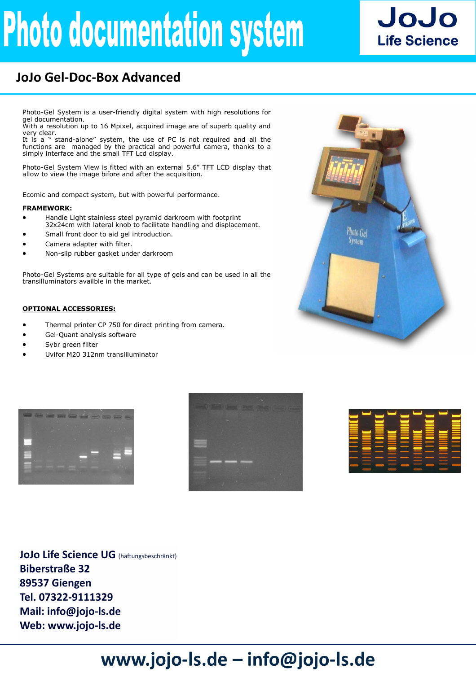# **Photo documentation system**



### **JoJo Gel-Doc-Box Advanced**

Photo-Gel System is a user-friendly digital system with high resolutions for gel documentation.

With a resolution up to 16 Mpixel, acquired image are of superb quality and very clear.

It is a " stand-alone" system, the use of PC is not required and all the functions are managed by the practical and powerful camera, thanks to a simply interface and the small TFT Lcd display.

Photo-Gel System View is fitted with an external 5.6" TFT LCD display that allow to view the image bifore and after the acquisition.

Ecomic and compact system, but with powerful performance.

#### **FRAMEWORK:**

- Handle Llght stainless steel pyramid darkroom with footprint 32x24cm with lateral knob to facilitate handling and displacement.
- Small front door to aid gel introduction.
- Camera adapter with filter.
- Non-slip rubber gasket under darkroom

Photo-Gel Systems are suitable for all type of gels and can be used in all the transilluminators availble in the market.

#### **OPTIONAL ACCESSORIES:**

- Thermal printer CP 750 for direct printing from camera.
- Gel-Quant analysis software
- Sybr green filter
- Uvifor M20 312nm transilluminator









**JoJo Life Science UG** (haftungsbeschränkt) **Biberstraße 32** 89537 Giengen Tel. 07322-9111329 Mail: info@jojo-ls.de Web: www.jojo-ls.de

## www.jojo-ls.de - info@jojo-ls.de